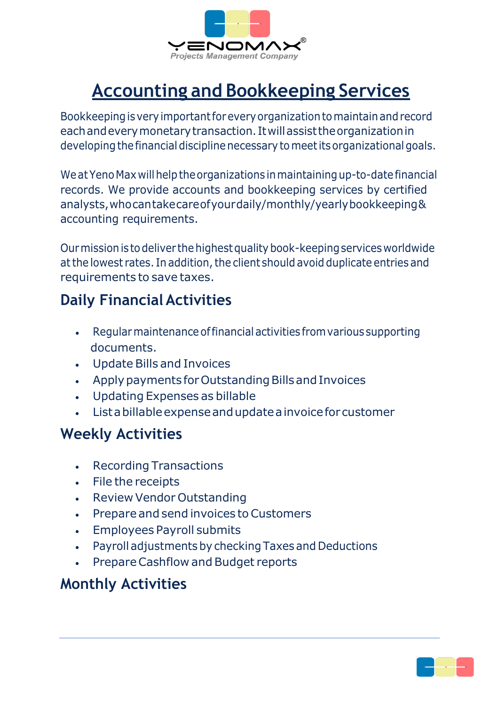

# **Accounting and Bookkeeping Services**

Bookkeepingisveryimportantforeveryorganizationtomaintainandrecord eachandeverymonetarytransaction. Itwillassisttheorganizationin developing the financial discipline necessary to meet its organizational goals.

We at Yeno Max will help the organizations in maintaining up-to-date financial records. We provide accounts and bookkeeping services by certified analysts,whocantakecareofyourdaily/monthly/yearlybookkeeping& accounting requirements.

Ourmissionis todeliver thehighestqualitybook-keepingservicesworldwide at the lowest rates. In addition, the client should avoid duplicate entries and requirements to save taxes.

### **Daily FinancialActivities**

- Regularmaintenanceoffinancialactivities fromvarious supporting documents.
- Update Bills and Invoices
- Apply payments for Outstanding Bills and Invoices
- Updating Expenses as billable
- Listabillableexpenseandupdateainvoiceforcustomer

#### **Weekly Activities**

- Recording Transactions
- File the receipts
- Review Vendor Outstanding
- Prepare and send invoices to Customers
- Employees Payroll submits
- Payroll adjustments by checking Taxes and Deductions
- Prepare Cashflow and Budget reports

#### **Monthly Activities**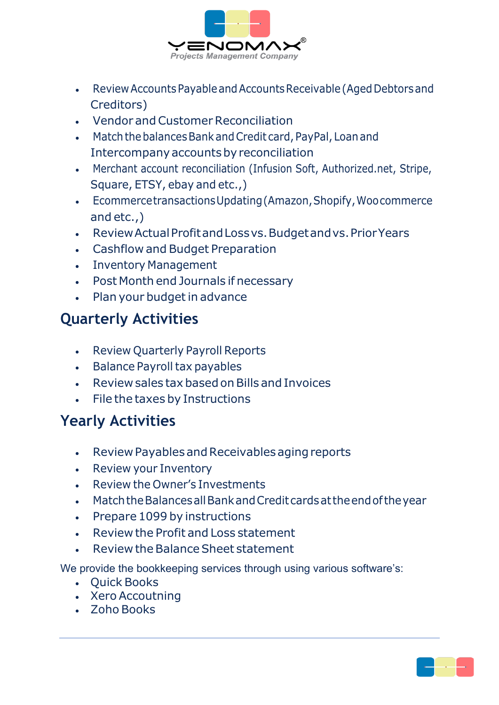

- ReviewAccountsPayableandAccountsReceivable(AgedDebtorsand Creditors)
- Vendor and Customer Reconciliation
- Match the balances Bank and Credit card, PayPal, Loan and Intercompany accounts by reconciliation
- Merchant account reconciliation (Infusion Soft, Authorized.net, Stripe, Square, ETSY, ebay and etc.,)
- EcommercetransactionsUpdating(Amazon,Shopify,Woocommerce and etc.,)
- ReviewActualProfitandLossvs.Budgetandvs.PriorYears
- Cashflow and Budget Preparation
- Inventory Management
- Post Month end Journals if necessary
- Plan your budget in advance

### **Quarterly Activities**

- Review Quarterly Payroll Reports
- Balance Payroll tax payables
- Review sales tax based on Bills and Invoices
- File the taxes by Instructions

### **Yearly Activities**

- Review Payables and Receivables aging reports
- Review your Inventory
- Review the Owner's Investments
- MatchtheBalancesallBankandCreditcardsattheendoftheyear
- Prepare 1099 by instructions
- Review the Profit and Loss statement
- Review the Balance Sheet statement

We provide the bookkeeping services through using various software's:

- Quick Books
- Xero Accoutning
- Zoho Books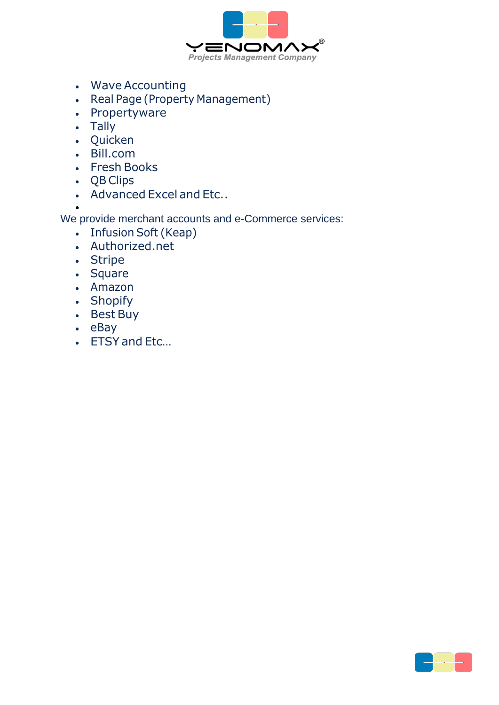

- Wave Accounting
- Real Page (Property Management)
- Propertyware
- Tally
- Quicken
- Bill.com
- Fresh Books
- QB Clips
- Advanced Excel and Etc..

• We provide merchant accounts and e-Commerce services:

- Infusion Soft (Keap)
- Authorized.net
- Stripe
- Square
- Amazon
- Shopify
- Best Buy
- eBay
- ETSY and Etc...

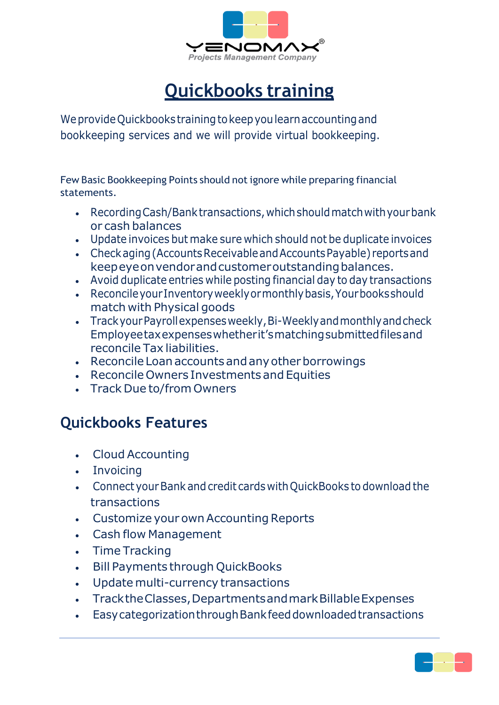

# **Quickbooks training**

We provide Quickbooks training to keep you learn accounting and bookkeeping services and we will provide virtual bookkeeping.

Few Basic Bookkeeping Points should not ignore while preparing financial statements.

- RecordingCash/Banktransactions,whichshouldmatchwithyourbank or cash balances
- Update invoices but make sure which should not be duplicate invoices
- Checkaging(AccountsReceivableandAccountsPayable) reportsand keepeye on vendor and customer outstanding balances.
- Avoid duplicate entries while posting financial day to day transactions
- ReconcileyourInventoryweeklyormonthlybasis,Yourbooksshould match with Physical goods
- Track your Payroll expenses weekly, Bi-Weekly and monthly and check Employeetaxexpenseswhetherit'smatchingsubmittedfilesand reconcile Tax liabilities.
- Reconcile Loan accounts and any other borrowings
- Reconcile Owners Investments and Equities
- Track Due to/from Owners

### **Quickbooks Features**

- Cloud Accounting
- Invoicing
- ConnectyourBank and credit cards withQuickBooks to download the transactions
- Customize your own Accounting Reports
- Cash flow Management
- Time Tracking
- Bill Payments through QuickBooks
- Update multi-currency transactions
- TracktheClasses,DepartmentsandmarkBillableExpenses
- EasycategorizationthroughBankfeeddownloadedtransactions

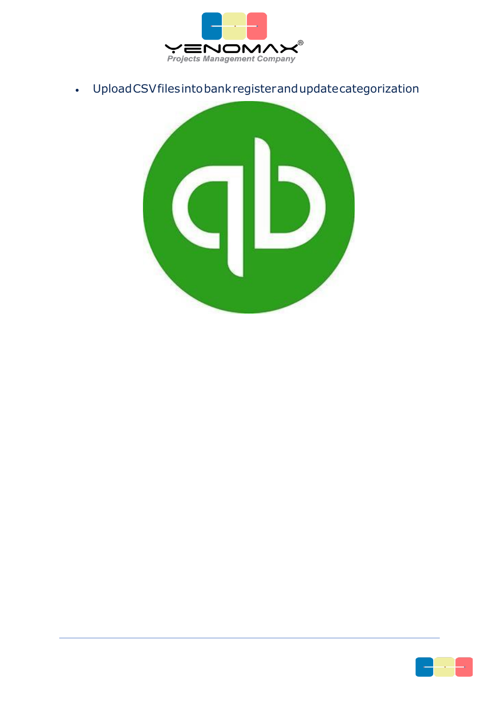

• UploadCSVfilesintobankregisterandupdatecategorization



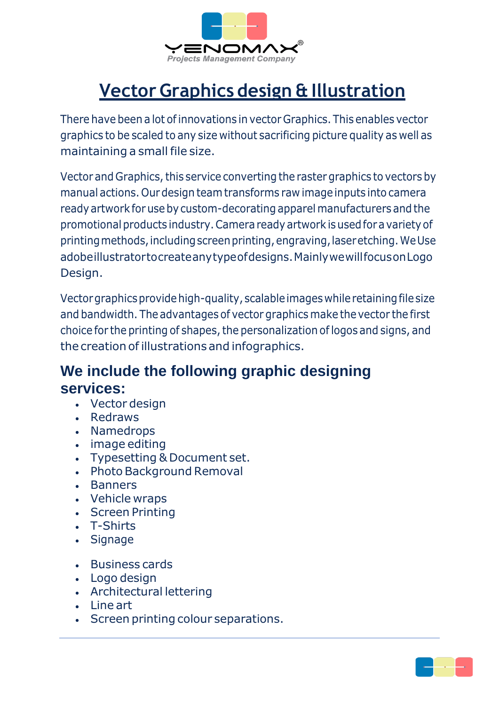

# **Vector Graphics design & Illustration**

There have been a lot of innovations in vector Graphics. This enables vector graphics to be scaled to any size without sacrificing picture quality as well as maintaining a small file size.

Vector and Graphics, this service converting the raster graphics to vectors by manual actions.Ourdesign teamtransforms raw image inputs into camera ready artwork for use by custom-decorating apparel manufacturers and the promotional products industry. Camera ready artwork is used for a variety of printingmethods,includingscreenprinting,engraving,laseretching.WeUse adobeillustratortocreateanytypeofdesigns.MainlywewillfocusonLogo Design.

Vector graphics provide high-quality, scalable images while retaining file size and bandwidth. The advantages of vector graphics make thevector the first choice for the printing of shapes, the personalization of logos and signs, and the creationof illustrations and infographics.

### **We include the following graphic designing services:**

- Vector design
- Redraws
- Namedrops
- image editing
- Typesetting & Document set.
- Photo Background Removal
- Banners
- Vehicle wraps
- Screen Printing
- T-Shirts
- Signage
- Business cards
- Logo design
- Architectural lettering
- Line art
- Screen printing colour separations.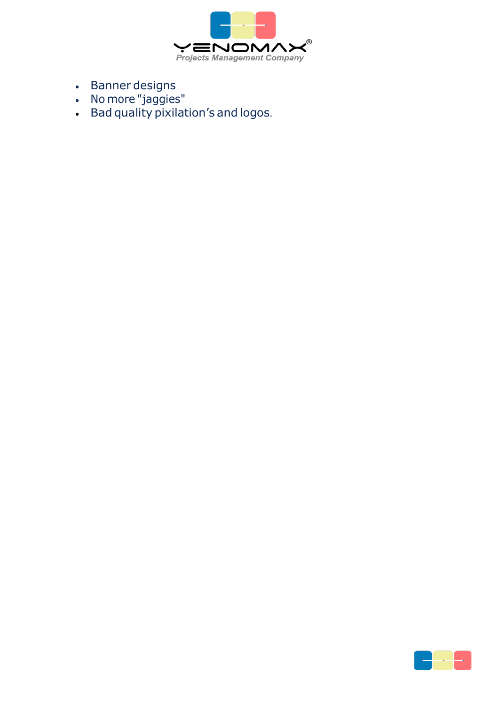

- Banner designs
- No more "jaggies"
- Bad quality pixilation's and logos.

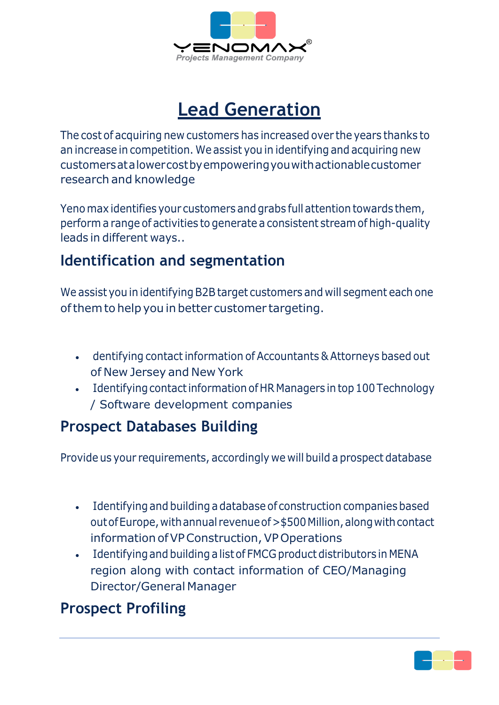

### **Lead Generation**

The cost of acquiring new customers has increased over the years thanks to an increase in competition. We assist you in identifying and acquiring new customersatalowercostbyempoweringyouwithactionablecustomer research and knowledge

Yeno max identifies your customers andgrabs full attention towards them, perform a range of activities to generate a consistent streamof high-quality leads in different ways..

### **Identification and segmentation**

We assist you in identifying B2B target customers and will segment each one of them to help you in better customer targeting.

- dentifying contact information of Accountants & Attorneys based out of New Jersey and New York
- Identifying contact information of HR Managers in top 100 Technology / Software development companies

### **Prospect Databases Building**

Provide us your requirements, accordingly we will build a prospect database

- Identifying and building adatabase of construction companiesbased out of Europe, with annual revenue of > \$500 Million, along with contact information of VP Construction, VP Operations
- Identifyingand building a listof FMCG product distributors in MENA region along with contact information of CEO/Managing Director/General Manager

### **Prospect Profiling**